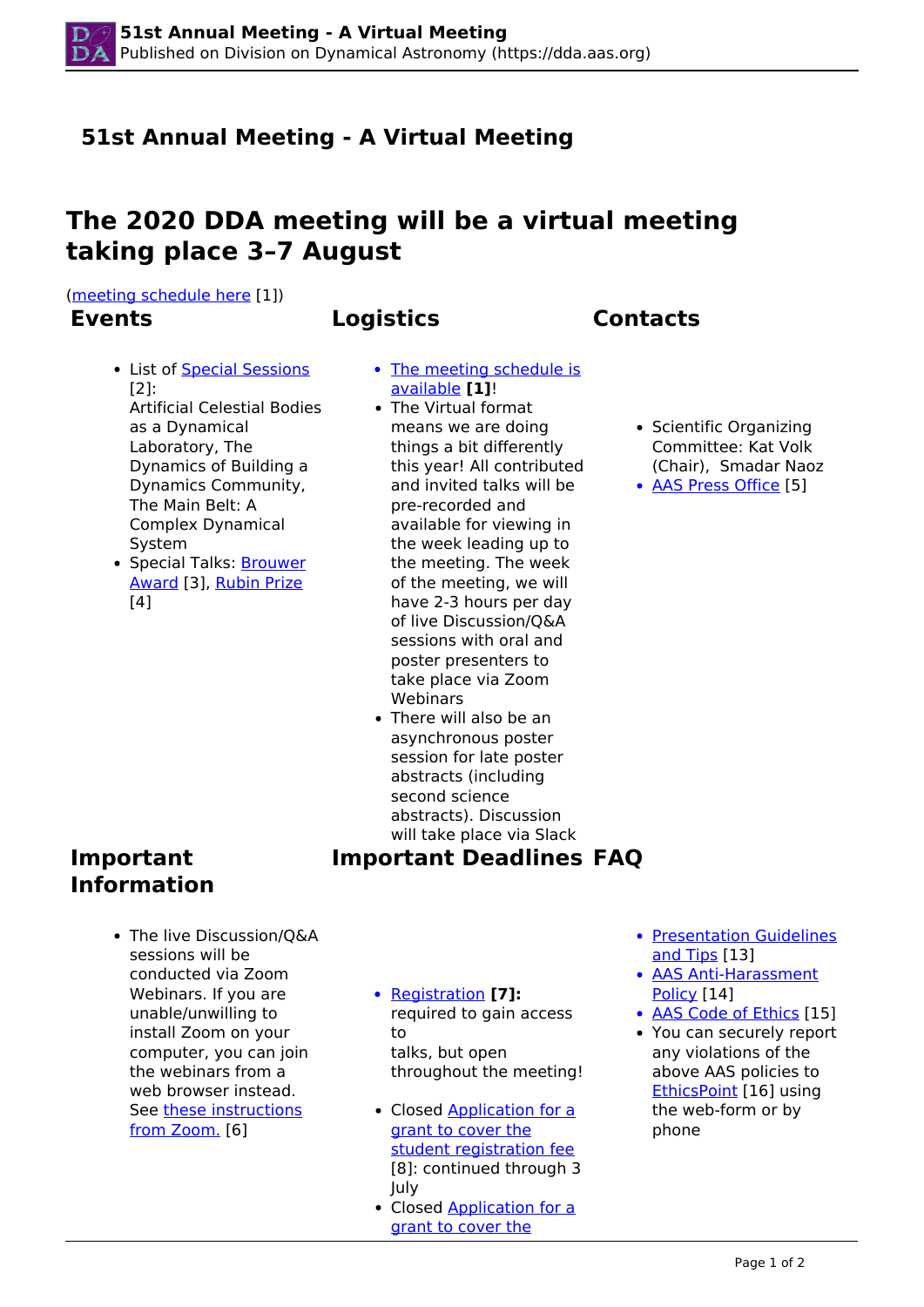# **51st Annual Meeting - A Virtual Meeting**

# **The 2020 DDA meeting will be a virtual meeting taking place 3–7 August**

[\(meeting schedule here](http://dda.aas.org/meetings/2020/schedule) [1])

## **Events Logistics Contacts**

- List of Special Sessions [2]: Artificial Celestial Bodies as a Dynamical Laboratory, The Dynamics of Building a Dynamics Community, The Main Belt: A Complex Dynamical System
- Special Talks: **Brouwer** Award [3], Rubin Prize [4]
- The meeting schedule is available **[1]**!
- The Virtual format means we are doing things a bit differently this year! All contributed and invited talks will be pre-recorded and available for viewing in the week leading up to the meeting. The week of the meeting, we will have 2-3 hours per day of live Discussion/Q&A sessions with oral and poster presenters to take place via Zoom **Webinars**
- There will also be an asynchronous poster session for late poster abstracts (including second science abstracts). Discussion will take place via Slack

**Important Deadlines FAQ**

## **Important Information**

- The live Discussion/Q&A sessions will be conducted via Zoom Webinars. If you are unable/unwilling to install Zoom on your computer, you can join the webinars from a web browser instead. See these instructions from Zoom. [6]
- Registration **[7]:**  required to gain access to talks, but open throughout the meeting!
- Closed Application for a grant to cover the student registration fee [8]: continued through 3 July
- Closed Application for a grant to cover the
- Presentation Guidelines and Tips [13]
- AAS Anti-Harassment Policy [14]
- AAS Code of Ethics [15]
- You can securely report any violations of the above AAS policies to EthicsPoint [16] using the web-form or by phone
- Scientific Organizing Committee: Kat Volk (Chair), Smadar Naoz
- AAS Press Office [5]